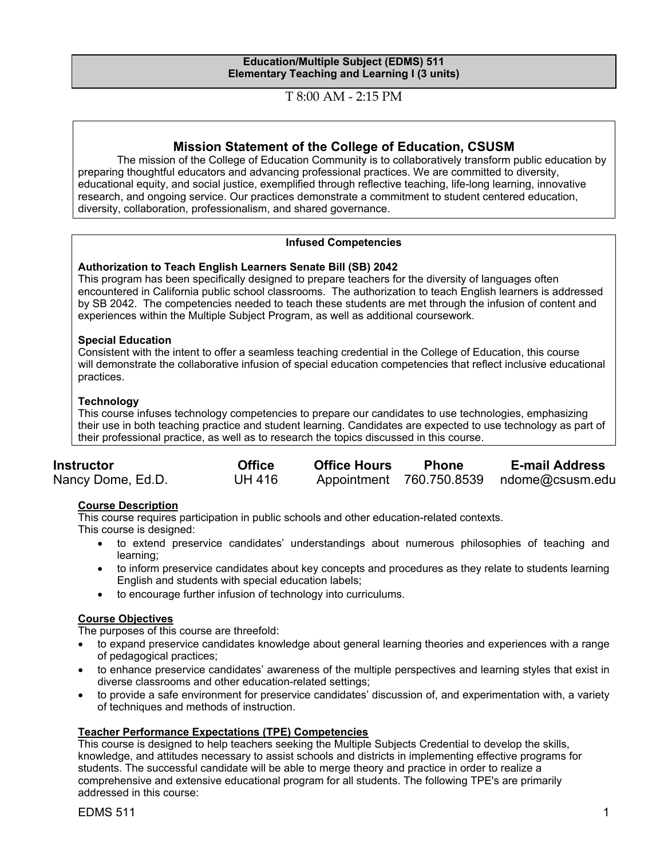#### **Education/Multiple Subject (EDMS) 511 Elementary Teaching and Learning I (3 units)**

T 8:00 AM - 2:15 PM

# **Mission Statement of the College of Education, CSUSM**

The mission of the College of Education Community is to collaboratively transform public education by preparing thoughtful educators and advancing professional practices. We are committed to diversity, educational equity, and social justice, exemplified through reflective teaching, life-long learning, innovative research, and ongoing service. Our practices demonstrate a commitment to student centered education, diversity, collaboration, professionalism, and shared governance.

# **Infused Competencies**

#### **Authorization to Teach English Learners Senate Bill (SB) 2042**

This program has been specifically designed to prepare teachers for the diversity of languages often encountered in California public school classrooms. The authorization to teach English learners is addressed by SB 2042. The competencies needed to teach these students are met through the infusion of content and experiences within the Multiple Subject Program, as well as additional coursework.

#### **Special Education**

Consistent with the intent to offer a seamless teaching credential in the College of Education, this course will demonstrate the collaborative infusion of special education competencies that reflect inclusive educational practices.

#### **Technology**

This course infuses technology competencies to prepare our candidates to use technologies, emphasizing their use in both teaching practice and student learning. Candidates are expected to use technology as part of their professional practice, as well as to research the topics discussed in this course.

| <b>Instructor</b> | <b>Office</b> | <b>Office Hours</b> | <b>Phone</b> | <b>E-mail Address</b>                    |
|-------------------|---------------|---------------------|--------------|------------------------------------------|
| Nancy Dome, Ed.D. | <b>UH 416</b> |                     |              | Appointment 760.750.8539 ndome@csusm.edu |

# **Course Description**

This course requires participation in public schools and other education-related contexts.

This course is designed:

- to extend preservice candidates' understandings about numerous philosophies of teaching and learning;
- to inform preservice candidates about key concepts and procedures as they relate to students learning English and students with special education labels;
- to encourage further infusion of technology into curriculums.

# **Course Objectives**

The purposes of this course are threefold:

- to expand preservice candidates knowledge about general learning theories and experiences with a range of pedagogical practices;
- to enhance preservice candidates' awareness of the multiple perspectives and learning styles that exist in diverse classrooms and other education-related settings;
- to provide a safe environment for preservice candidates' discussion of, and experimentation with, a variety of techniques and methods of instruction.

# **Teacher Performance Expectations (TPE) Competencies**

This course is designed to help teachers seeking the Multiple Subjects Credential to develop the skills, knowledge, and attitudes necessary to assist schools and districts in implementing effective programs for students. The successful candidate will be able to merge theory and practice in order to realize a comprehensive and extensive educational program for all students. The following TPE's are primarily addressed in this course: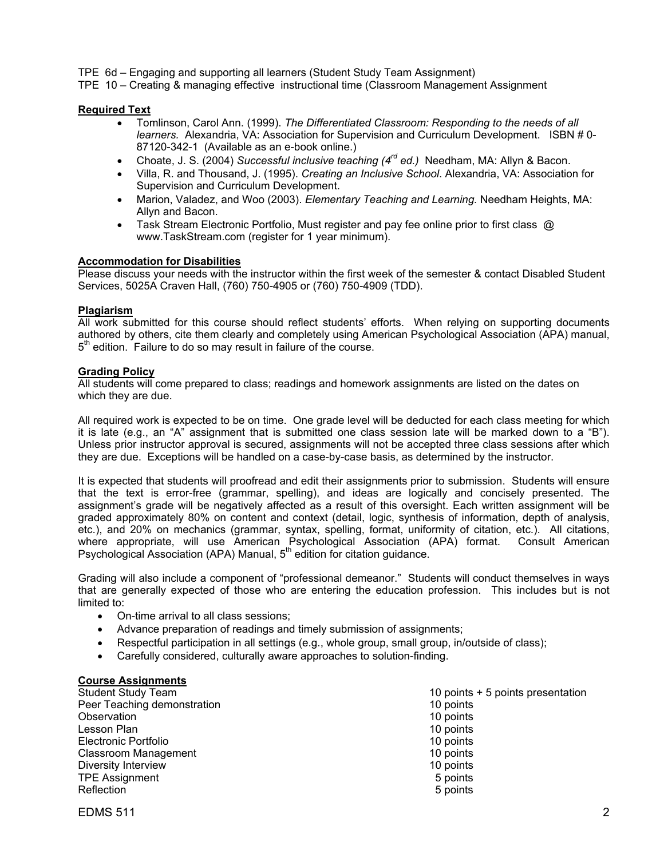TPE 6d – Engaging and supporting all learners (Student Study Team Assignment)

TPE 10 – Creating & managing effective instructional time (Classroom Management Assignment

#### **Required Text**

- Tomlinson, Carol Ann. (1999). *The Differentiated Classroom: Responding to the needs of all learners.* Alexandria, VA: Association for Supervision and Curriculum Development. ISBN # 0- 87120-342-1 (Available as an e-book online.)
- Choate, J. S. (2004) *Successful inclusive teaching (4rd ed.)* Needham, MA: Allyn & Bacon.
- Villa, R. and Thousand, J. (1995). *Creating an Inclusive School*. Alexandria, VA: Association for Supervision and Curriculum Development.
- Marion, Valadez, and Woo (2003). *Elementary Teaching and Learning.* Needham Heights, MA: Allyn and Bacon.
- Task Stream Electronic Portfolio, Must register and pay fee online prior to first class  $\varpi$ www.TaskStream.com (register for 1 year minimum).

#### **Accommodation for Disabilities**

Please discuss your needs with the instructor within the first week of the semester & contact Disabled Student Services, 5025A Craven Hall, (760) 750-4905 or (760) 750-4909 (TDD).

#### **Plagiarism**

All work submitted for this course should reflect students' efforts. When relying on supporting documents authored by others, cite them clearly and completely using American Psychological Association (APA) manual,  $5<sup>th</sup>$  edition. Failure to do so may result in failure of the course.

#### **Grading Policy**

All students will come prepared to class; readings and homework assignments are listed on the dates on which they are due.

All required work is expected to be on time. One grade level will be deducted for each class meeting for which it is late (e.g., an "A" assignment that is submitted one class session late will be marked down to a "B"). Unless prior instructor approval is secured, assignments will not be accepted three class sessions after which they are due. Exceptions will be handled on a case-by-case basis, as determined by the instructor.

It is expected that students will proofread and edit their assignments prior to submission. Students will ensure that the text is error-free (grammar, spelling), and ideas are logically and concisely presented. The assignment's grade will be negatively affected as a result of this oversight. Each written assignment will be graded approximately 80% on content and context (detail, logic, synthesis of information, depth of analysis, etc.), and 20% on mechanics (grammar, syntax, spelling, format, uniformity of citation, etc.). All citations, where appropriate, will use American Psychological Association (APA) format. Consult American Psychological Association (APA) Manual, 5<sup>th</sup> edition for citation guidance.

Grading will also include a component of "professional demeanor." Students will conduct themselves in ways that are generally expected of those who are entering the education profession. This includes but is not limited to:

- On-time arrival to all class sessions;
- Advance preparation of readings and timely submission of assignments;
- Respectful participation in all settings (e.g., whole group, small group, in/outside of class);
- Carefully considered, culturally aware approaches to solution-finding.

#### **Course Assignments**

| <b>Student Study Team</b>   | 10 points + 5 points presentation |
|-----------------------------|-----------------------------------|
| Peer Teaching demonstration | 10 points                         |
| Observation                 | 10 points                         |
| Lesson Plan                 | 10 points                         |
| Electronic Portfolio        | 10 points                         |
| Classroom Management        | 10 points                         |
| Diversity Interview         | 10 points                         |
| <b>TPE Assignment</b>       | 5 points                          |
| Reflection                  | 5 points                          |

EDMS 511 2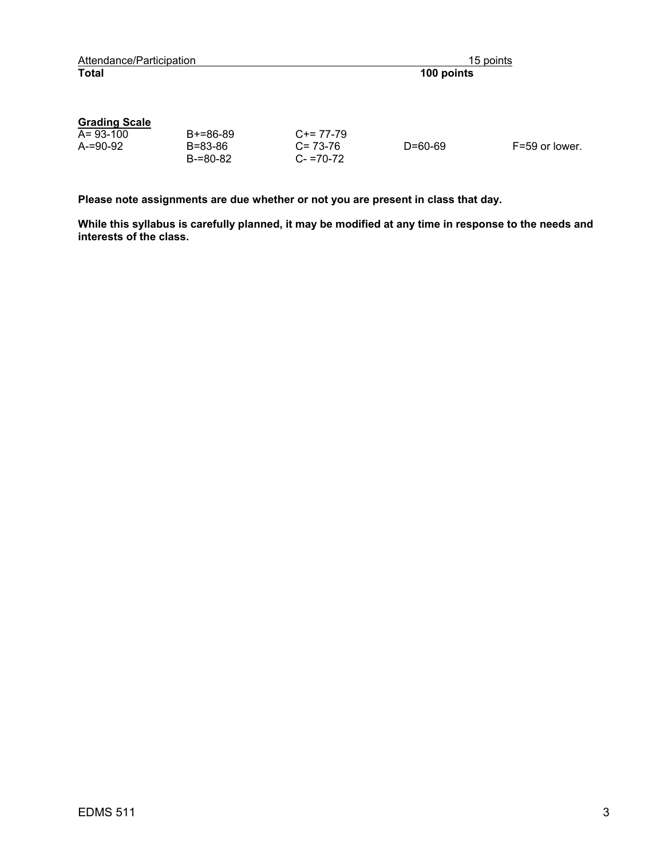| Attendance/Participation        |                             |                            | 15 points     |                |
|---------------------------------|-----------------------------|----------------------------|---------------|----------------|
| <b>Total</b>                    |                             |                            | 100 points    |                |
| <b>Grading Scale</b>            |                             |                            |               |                |
| $A = 93 - 100$<br>$A = 90 - 92$ | $B+=86-89$<br>$B = 83 - 86$ | $C+= 77-79$<br>$C = 73-76$ | $D = 60 - 69$ | F=59 or lower. |

C= 73-76 C- =70-72

**Please note assignments are due whether or not you are present in class that day.** 

B=83-86 B-=80-82

**While this syllabus is carefully planned, it may be modified at any time in response to the needs and interests of the class.** 

A-=90-92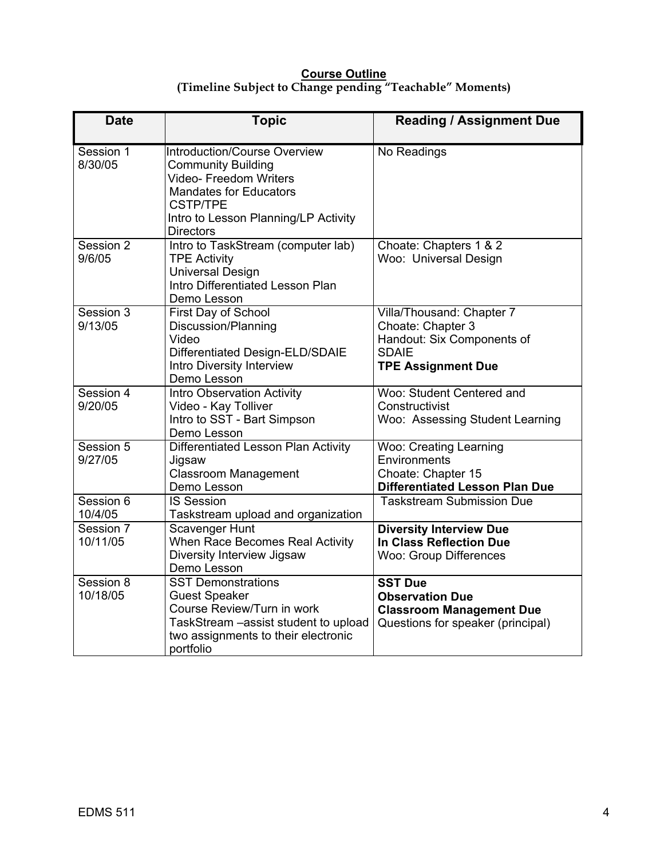# **Course Outline (Timeline Subject to Change pending "Teachable" Moments)**

| <b>Date</b>           | <b>Topic</b>                                                                                                                                                                                                      | <b>Reading / Assignment Due</b>                                                                                           |
|-----------------------|-------------------------------------------------------------------------------------------------------------------------------------------------------------------------------------------------------------------|---------------------------------------------------------------------------------------------------------------------------|
| Session 1<br>8/30/05  | <b>Introduction/Course Overview</b><br><b>Community Building</b><br><b>Video- Freedom Writers</b><br><b>Mandates for Educators</b><br><b>CSTP/TPE</b><br>Intro to Lesson Planning/LP Activity<br><b>Directors</b> | No Readings                                                                                                               |
| Session 2<br>9/6/05   | Intro to TaskStream (computer lab)<br><b>TPE Activity</b><br><b>Universal Design</b><br>Intro Differentiated Lesson Plan<br>Demo Lesson                                                                           | Choate: Chapters 1 & 2<br>Woo: Universal Design                                                                           |
| Session 3<br>9/13/05  | First Day of School<br>Discussion/Planning<br>Video<br>Differentiated Design-ELD/SDAIE<br>Intro Diversity Interview<br>Demo Lesson                                                                                | Villa/Thousand: Chapter 7<br>Choate: Chapter 3<br>Handout: Six Components of<br><b>SDAIE</b><br><b>TPE Assignment Due</b> |
| Session 4<br>9/20/05  | <b>Intro Observation Activity</b><br>Video - Kay Tolliver<br>Intro to SST - Bart Simpson<br>Demo Lesson                                                                                                           | Woo: Student Centered and<br>Constructivist<br>Woo: Assessing Student Learning                                            |
| Session 5<br>9/27/05  | Differentiated Lesson Plan Activity<br>Jigsaw<br><b>Classroom Management</b><br>Demo Lesson                                                                                                                       | <b>Woo: Creating Learning</b><br>Environments<br>Choate: Chapter 15<br><b>Differentiated Lesson Plan Due</b>              |
| Session 6<br>10/4/05  | <b>IS Session</b><br>Taskstream upload and organization                                                                                                                                                           | <b>Taskstream Submission Due</b>                                                                                          |
| Session 7<br>10/11/05 | <b>Scavenger Hunt</b><br>When Race Becomes Real Activity<br>Diversity Interview Jigsaw<br>Demo Lesson                                                                                                             | <b>Diversity Interview Due</b><br>In Class Reflection Due<br><b>Woo: Group Differences</b>                                |
| Session 8<br>10/18/05 | <b>SST Demonstrations</b><br><b>Guest Speaker</b><br>Course Review/Turn in work<br>TaskStream - assist student to upload<br>two assignments to their electronic<br>portfolio                                      | <b>SST Due</b><br><b>Observation Due</b><br><b>Classroom Management Due</b><br>Questions for speaker (principal)          |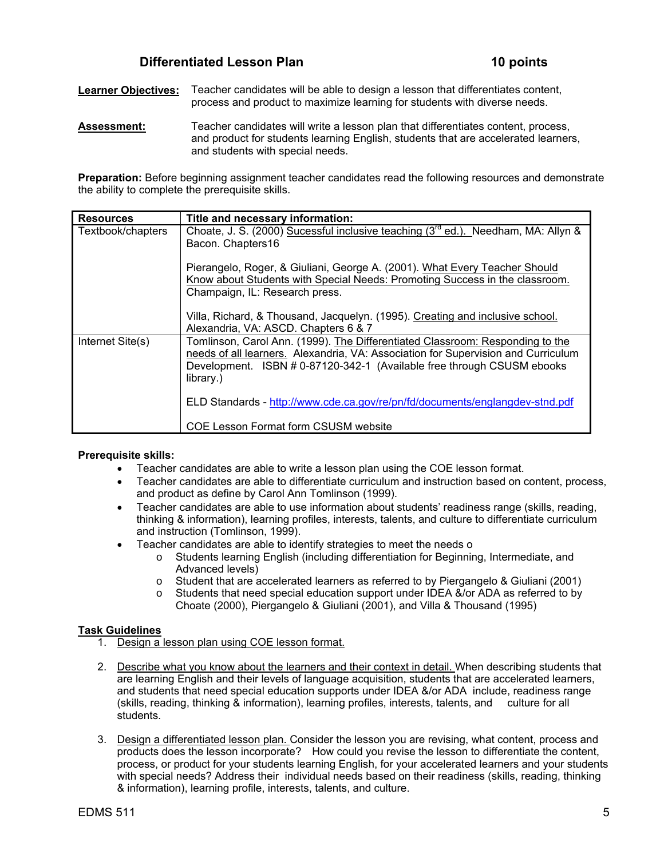# **Differentiated Lesson Plan 10 points 10 points**

**Learner Objectives:** Teacher candidates will be able to design a lesson that differentiates content, process and product to maximize learning for students with diverse needs.

**Assessment:** Teacher candidates will write a lesson plan that differentiates content, process, and product for students learning English, students that are accelerated learners, and students with special needs.

**Preparation:** Before beginning assignment teacher candidates read the following resources and demonstrate the ability to complete the prerequisite skills.

| <b>Resources</b>  | Title and necessary information:                                                              |
|-------------------|-----------------------------------------------------------------------------------------------|
| Textbook/chapters | Choate, J. S. (2000) Sucessful inclusive teaching (3 <sup>rd</sup> ed.). Needham, MA: Allyn & |
|                   | Bacon. Chapters16                                                                             |
|                   | Pierangelo, Roger, & Giuliani, George A. (2001). What Every Teacher Should                    |
|                   | Know about Students with Special Needs: Promoting Success in the classroom.                   |
|                   | Champaign, IL: Research press.                                                                |
|                   | Villa, Richard, & Thousand, Jacquelyn. (1995). Creating and inclusive school.                 |
|                   | Alexandria, VA: ASCD. Chapters 6 & 7                                                          |
| Internet Site(s)  | Tomlinson, Carol Ann. (1999). The Differentiated Classroom: Responding to the                 |
|                   | needs of all learners. Alexandria, VA: Association for Supervision and Curriculum             |
|                   | Development. ISBN # 0-87120-342-1 (Available free through CSUSM ebooks<br>library.)           |
|                   | ELD Standards - http://www.cde.ca.gov/re/pn/fd/documents/englangdev-stnd.pdf                  |
|                   | <b>COE Lesson Format form CSUSM website</b>                                                   |

#### **Prerequisite skills:**

- Teacher candidates are able to write a lesson plan using the COE lesson format.
- Teacher candidates are able to differentiate curriculum and instruction based on content, process, and product as define by Carol Ann Tomlinson (1999).
- Teacher candidates are able to use information about students' readiness range (skills, reading, thinking & information), learning profiles, interests, talents, and culture to differentiate curriculum and instruction (Tomlinson, 1999).
- Teacher candidates are able to identify strategies to meet the needs o
	- o Students learning English (including differentiation for Beginning, Intermediate, and Advanced levels)
	- o Student that are accelerated learners as referred to by Piergangelo & Giuliani (2001)
	- $\circ$  Students that need special education support under IDEA &/or ADA as referred to by Choate (2000), Piergangelo & Giuliani (2001), and Villa & Thousand (1995)

# **Task Guidelines**

- 1. Design a lesson plan using COE lesson format.
- 2. Describe what you know about the learners and their context in detail. When describing students that are learning English and their levels of language acquisition, students that are accelerated learners, and students that need special education supports under IDEA &/or ADA include, readiness range (skills, reading, thinking & information), learning profiles, interests, talents, and culture for all students.
- 3. Design a differentiated lesson plan. Consider the lesson you are revising, what content, process and products does the lesson incorporate? How could you revise the lesson to differentiate the content, process, or product for your students learning English, for your accelerated learners and your students with special needs? Address their individual needs based on their readiness (skills, reading, thinking & information), learning profile, interests, talents, and culture.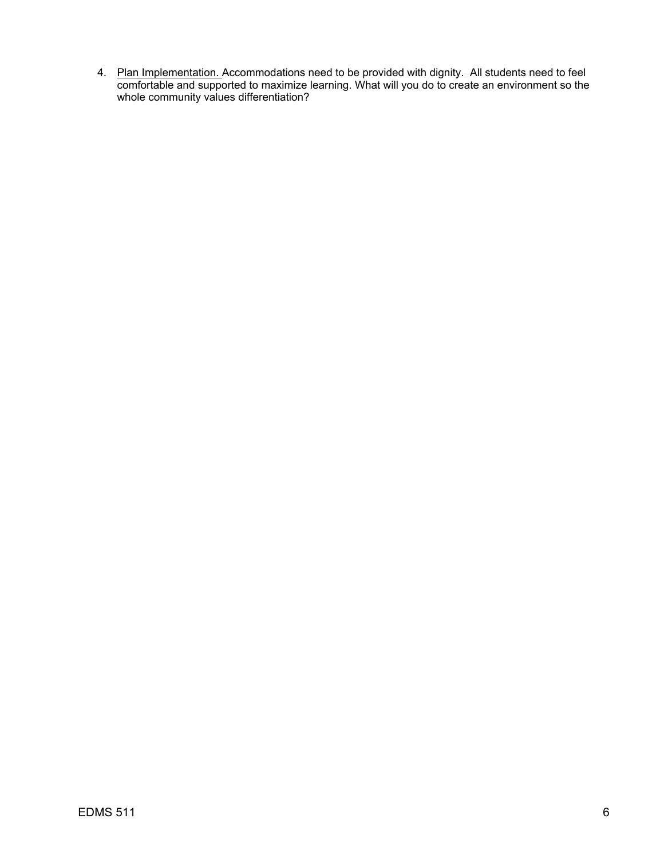4. Plan Implementation. Accommodations need to be provided with dignity. All students need to feel comfortable and supported to maximize learning. What will you do to create an environment so the whole community values differentiation?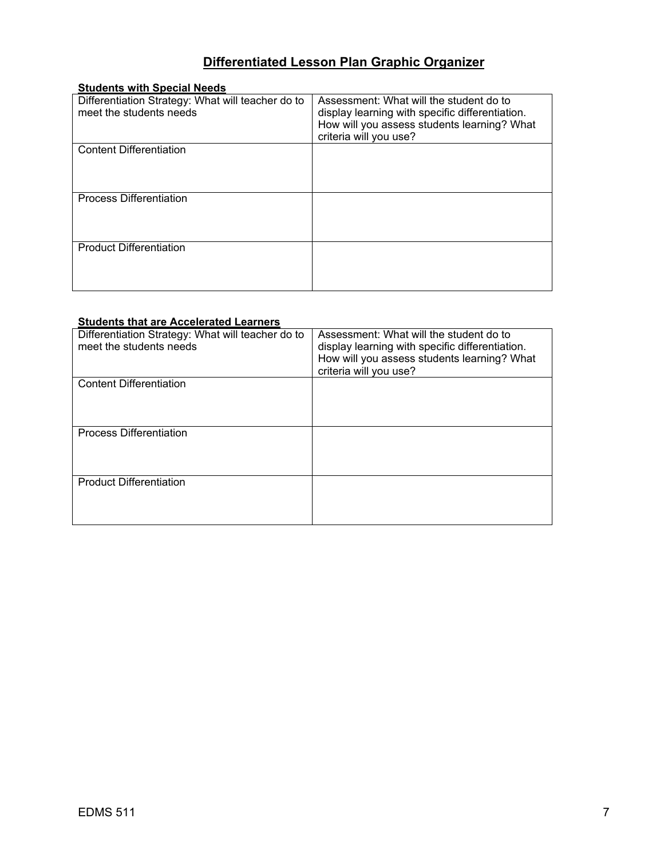# **Differentiated Lesson Plan Graphic Organizer**

| <b>Students with Special Needs</b>                |                                                 |
|---------------------------------------------------|-------------------------------------------------|
| Differentiation Strategy: What will teacher do to | Assessment: What will the student do to         |
| meet the students needs                           | display learning with specific differentiation. |
|                                                   | How will you assess students learning? What     |
|                                                   | criteria will you use?                          |
| <b>Content Differentiation</b>                    |                                                 |
|                                                   |                                                 |
|                                                   |                                                 |
|                                                   |                                                 |
| <b>Process Differentiation</b>                    |                                                 |
|                                                   |                                                 |
|                                                   |                                                 |
|                                                   |                                                 |
| <b>Product Differentiation</b>                    |                                                 |
|                                                   |                                                 |
|                                                   |                                                 |
|                                                   |                                                 |

# **Students that are Accelerated Learners**

| Differentiation Strategy: What will teacher do to<br>meet the students needs | Assessment: What will the student do to<br>display learning with specific differentiation.<br>How will you assess students learning? What<br>criteria will you use? |
|------------------------------------------------------------------------------|---------------------------------------------------------------------------------------------------------------------------------------------------------------------|
| <b>Content Differentiation</b>                                               |                                                                                                                                                                     |
| <b>Process Differentiation</b>                                               |                                                                                                                                                                     |
| <b>Product Differentiation</b>                                               |                                                                                                                                                                     |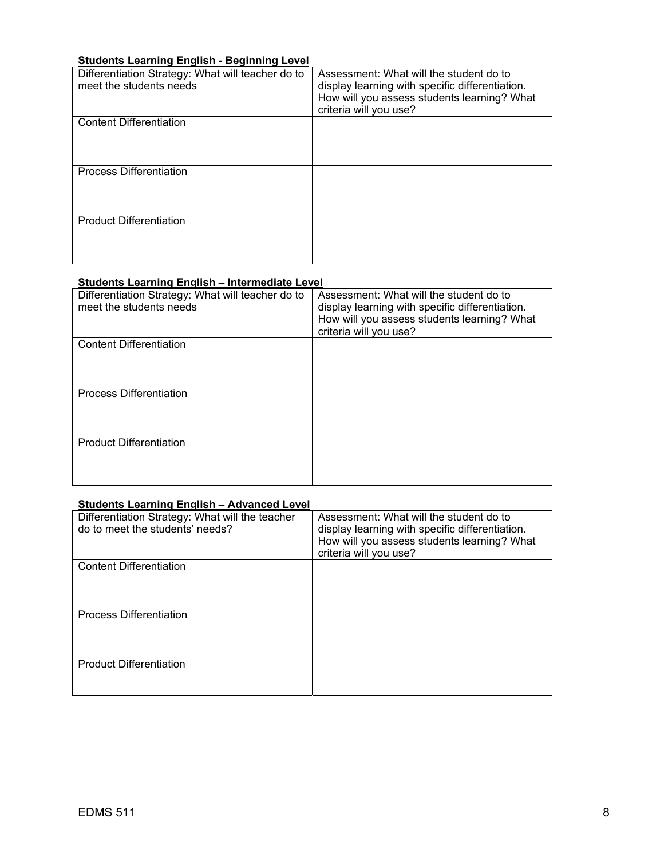# **Students Learning English - Beginning Level**

| Differentiation Strategy: What will teacher do to<br>meet the students needs | Assessment: What will the student do to<br>display learning with specific differentiation.<br>How will you assess students learning? What<br>criteria will you use? |
|------------------------------------------------------------------------------|---------------------------------------------------------------------------------------------------------------------------------------------------------------------|
| <b>Content Differentiation</b>                                               |                                                                                                                                                                     |
| <b>Process Differentiation</b>                                               |                                                                                                                                                                     |
| <b>Product Differentiation</b>                                               |                                                                                                                                                                     |

# **Students Learning English – Intermediate Level**

| Differentiation Strategy: What will teacher do to<br>meet the students needs | Assessment: What will the student do to<br>display learning with specific differentiation.<br>How will you assess students learning? What<br>criteria will you use? |
|------------------------------------------------------------------------------|---------------------------------------------------------------------------------------------------------------------------------------------------------------------|
| <b>Content Differentiation</b>                                               |                                                                                                                                                                     |
| <b>Process Differentiation</b>                                               |                                                                                                                                                                     |
| <b>Product Differentiation</b>                                               |                                                                                                                                                                     |

# **Students Learning English – Advanced Level**

| Differentiation Strategy: What will the teacher<br>do to meet the students' needs? | Assessment: What will the student do to<br>display learning with specific differentiation.<br>How will you assess students learning? What<br>criteria will you use? |
|------------------------------------------------------------------------------------|---------------------------------------------------------------------------------------------------------------------------------------------------------------------|
| <b>Content Differentiation</b>                                                     |                                                                                                                                                                     |
| <b>Process Differentiation</b>                                                     |                                                                                                                                                                     |
| <b>Product Differentiation</b>                                                     |                                                                                                                                                                     |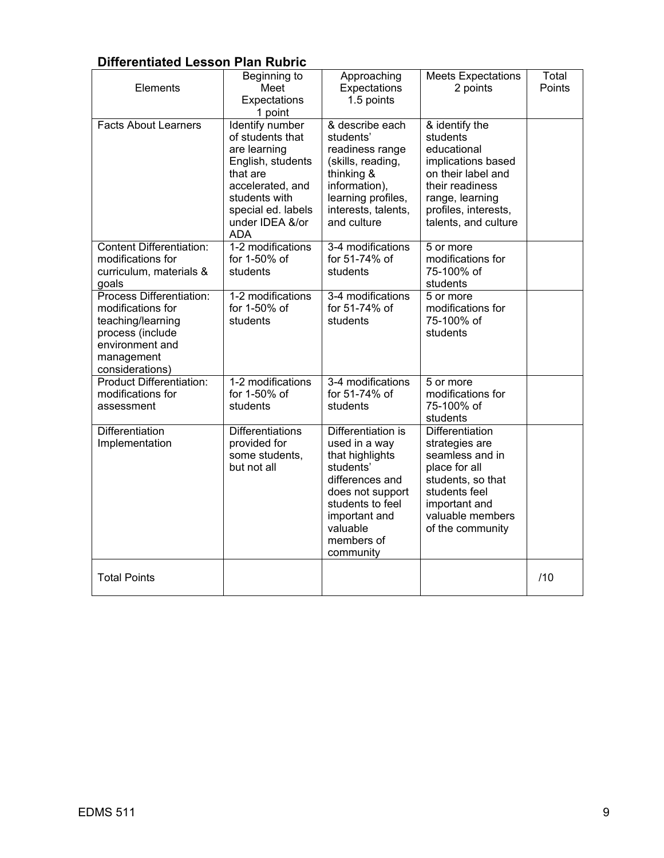# **Differentiated Lesson Plan Rubric**

| Elements                                                                                                                                   | Beginning to<br>Meet<br>Expectations<br>1 point                                                                                                                                         | Approaching<br>Expectations<br>1.5 points                                                                                                                                              | <b>Meets Expectations</b><br>2 points                                                                                                                                       | Total<br>Points |
|--------------------------------------------------------------------------------------------------------------------------------------------|-----------------------------------------------------------------------------------------------------------------------------------------------------------------------------------------|----------------------------------------------------------------------------------------------------------------------------------------------------------------------------------------|-----------------------------------------------------------------------------------------------------------------------------------------------------------------------------|-----------------|
| <b>Facts About Learners</b>                                                                                                                | <b>Identify number</b><br>of students that<br>are learning<br>English, students<br>that are<br>accelerated, and<br>students with<br>special ed. labels<br>under IDEA &/or<br><b>ADA</b> | & describe each<br>students'<br>readiness range<br>(skills, reading,<br>thinking &<br>information),<br>learning profiles,<br>interests, talents,<br>and culture                        | & identify the<br>students<br>educational<br>implications based<br>on their label and<br>their readiness<br>range, learning<br>profiles, interests,<br>talents, and culture |                 |
| <b>Content Differentiation:</b><br>modifications for<br>curriculum, materials &<br>goals                                                   | 1-2 modifications<br>for 1-50% of<br>students                                                                                                                                           | 3-4 modifications<br>for 51-74% of<br>students                                                                                                                                         | 5 or more<br>modifications for<br>75-100% of<br>students                                                                                                                    |                 |
| Process Differentiation:<br>modifications for<br>teaching/learning<br>process (include<br>environment and<br>management<br>considerations) | 1-2 modifications<br>for 1-50% of<br>students                                                                                                                                           | 3-4 modifications<br>for 51-74% of<br>students                                                                                                                                         | 5 or more<br>modifications for<br>75-100% of<br>students                                                                                                                    |                 |
| <b>Product Differentiation:</b><br>modifications for<br>assessment                                                                         | 1-2 modifications<br>for 1-50% of<br>students                                                                                                                                           | 3-4 modifications<br>for 51-74% of<br>students                                                                                                                                         | 5 or more<br>modifications for<br>75-100% of<br>students                                                                                                                    |                 |
| Differentiation<br>Implementation                                                                                                          | <b>Differentiations</b><br>provided for<br>some students,<br>but not all                                                                                                                | Differentiation is<br>used in a way<br>that highlights<br>students'<br>differences and<br>does not support<br>students to feel<br>important and<br>valuable<br>members of<br>community | Differentiation<br>strategies are<br>seamless and in<br>place for all<br>students, so that<br>students feel<br>important and<br>valuable members<br>of the community        |                 |
| <b>Total Points</b>                                                                                                                        |                                                                                                                                                                                         |                                                                                                                                                                                        |                                                                                                                                                                             | /10             |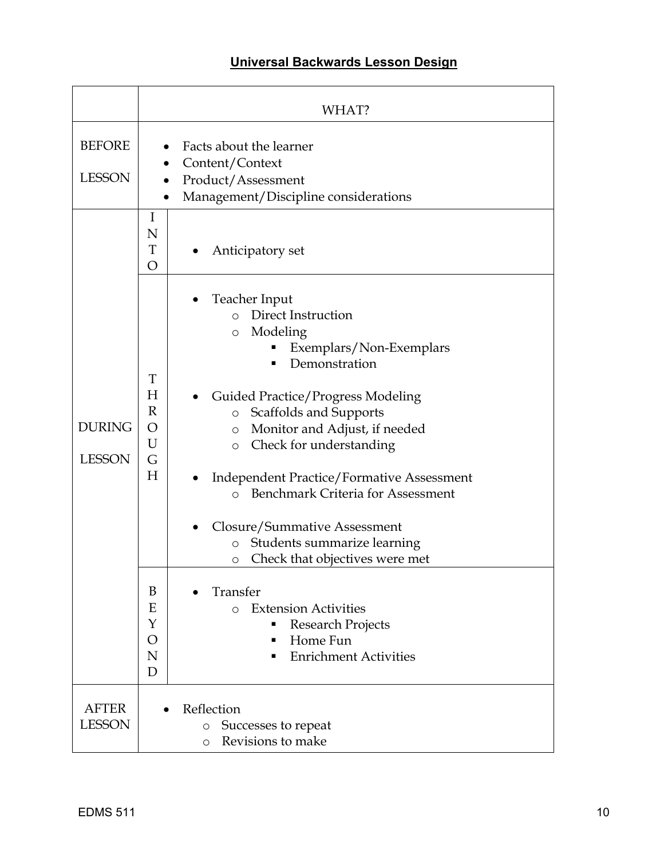# **Universal Backwards Lesson Design**

|                                | WHAT?                                                                                                                                                                                                                                                                                                                                                                                                                                                                                                                                                                                                                                                                                        |
|--------------------------------|----------------------------------------------------------------------------------------------------------------------------------------------------------------------------------------------------------------------------------------------------------------------------------------------------------------------------------------------------------------------------------------------------------------------------------------------------------------------------------------------------------------------------------------------------------------------------------------------------------------------------------------------------------------------------------------------|
| <b>BEFORE</b><br><b>LESSON</b> | Facts about the learner<br>Content/Context<br>Product/Assessment<br>Management/Discipline considerations                                                                                                                                                                                                                                                                                                                                                                                                                                                                                                                                                                                     |
|                                | I<br>N<br>T<br>Anticipatory set<br>$\overline{O}$                                                                                                                                                                                                                                                                                                                                                                                                                                                                                                                                                                                                                                            |
| <b>DURING</b><br><b>LESSON</b> | Teacher Input<br>Direct Instruction<br>$\circ$<br>Modeling<br>O<br>Exemplars/Non-Exemplars<br>Demonstration<br>T<br>H<br><b>Guided Practice/Progress Modeling</b><br>R<br>Scaffolds and Supports<br>$\circ$<br>O<br>Monitor and Adjust, if needed<br>O<br>U<br>Check for understanding<br>$\circ$<br>G<br>H<br><b>Independent Practice/Formative Assessment</b><br>Benchmark Criteria for Assessment<br>$\Omega$<br>Closure/Summative Assessment<br>Students summarize learning<br>$\circ$<br>Check that objectives were met<br>O<br>Transfer<br>B<br><b>Extension Activities</b><br>E<br>$\Omega$<br>Y<br>Research Projects<br>Home Fun<br>O<br>п<br><b>Enrichment Activities</b><br>N<br>D |
| <b>AFTER</b><br><b>LESSON</b>  | Reflection<br>Successes to repeat<br>O<br>Revisions to make<br>O                                                                                                                                                                                                                                                                                                                                                                                                                                                                                                                                                                                                                             |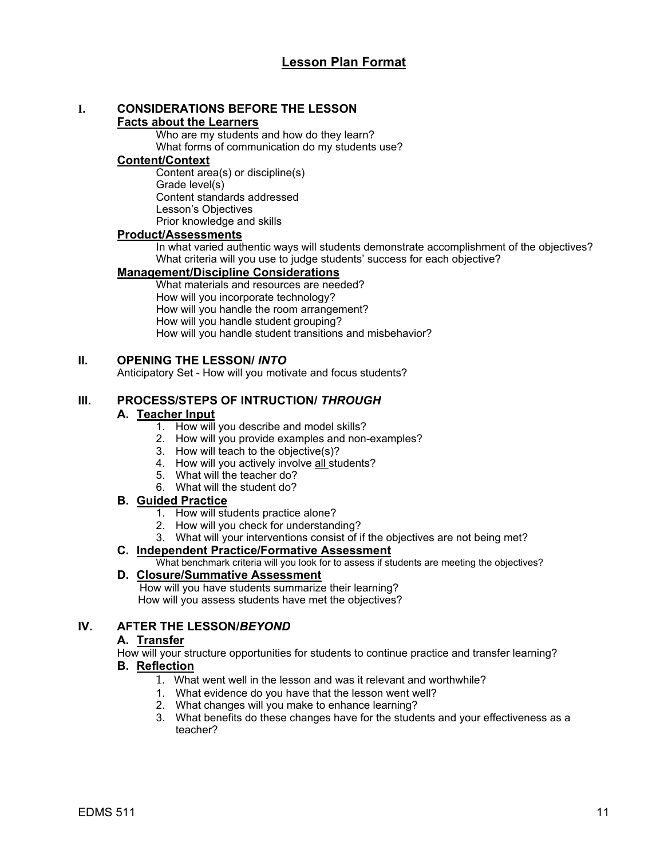# **I. CONSIDERATIONS BEFORE THE LESSON**

# **Facts about the Learners**

Who are my students and how do they learn? What forms of communication do my students use?

# **Content/Context**

Content area(s) or discipline(s) Grade level(s) Content standards addressed Lesson's Objectives Prior knowledge and skills

# **Product/Assessments**

In what varied authentic ways will students demonstrate accomplishment of the objectives? What criteria will you use to judge students' success for each objective?

# **Management/Discipline Considerations**

What materials and resources are needed? How will you incorporate technology? How will you handle the room arrangement? How will you handle student grouping? How will you handle student transitions and misbehavior?

# **II. OPENING THE LESSON/** *INTO*

Anticipatory Set - How will you motivate and focus students?

# **III. PROCESS/STEPS OF INTRUCTION/** *THROUGH*

# **A. Teacher Input**

- 1. How will you describe and model skills?
- 2. How will you provide examples and non-examples?
- 3. How will teach to the objective(s)?
- 4. How will you actively involve all students?
- 5. What will the teacher do?
- 6. What will the student do?

# **B. Guided Practice**

- 1. How will students practice alone?
- 2. How will you check for understanding?
- 3. What will your interventions consist of if the objectives are not being met?

# **C. Independent Practice/Formative Assessment**

What benchmark criteria will you look for to assess if students are meeting the objectives?

# **D. Closure/Summative Assessment**

 How will you have students summarize their learning? How will you assess students have met the objectives?

# **IV. AFTER THE LESSON/***BEYOND*

# **A. Transfer**

How will your structure opportunities for students to continue practice and transfer learning?

# **B. Reflection**

- 1. What went well in the lesson and was it relevant and worthwhile?
- 1. What evidence do you have that the lesson went well?
- 2. What changes will you make to enhance learning?
- 3. What benefits do these changes have for the students and your effectiveness as a teacher?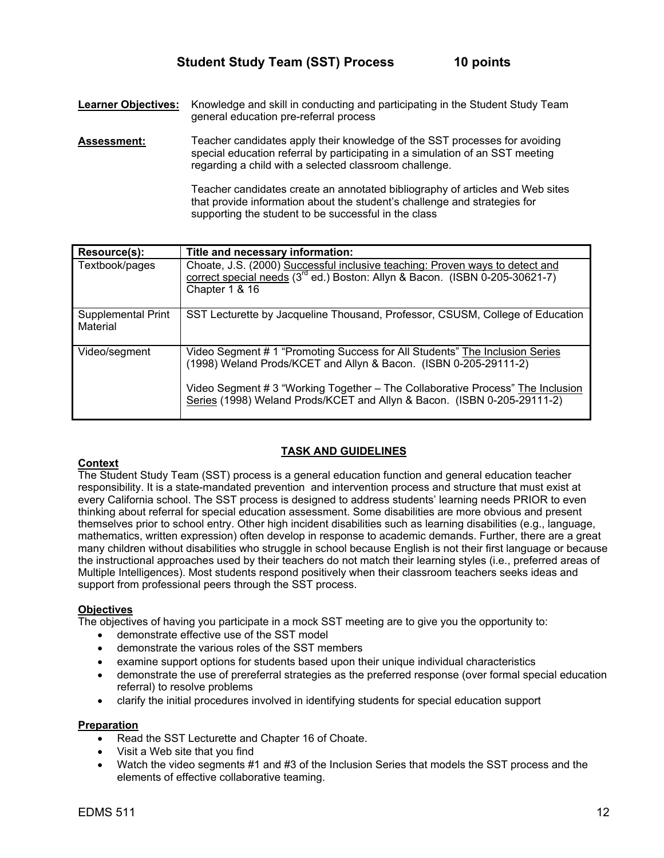**Learner Objectives:** Knowledge and skill in conducting and participating in the Student Study Team general education pre-referral process

**Assessment:** Teacher candidates apply their knowledge of the SST processes for avoiding special education referral by participating in a simulation of an SST meeting regarding a child with a selected classroom challenge.

> Teacher candidates create an annotated bibliography of articles and Web sites that provide information about the student's challenge and strategies for supporting the student to be successful in the class

| Resource(s):                   | Title and necessary information:                                                                                                                                                                                                                                                                             |
|--------------------------------|--------------------------------------------------------------------------------------------------------------------------------------------------------------------------------------------------------------------------------------------------------------------------------------------------------------|
| Textbook/pages                 | Choate, J.S. (2000) Successful inclusive teaching: Proven ways to detect and<br>correct special needs (3 <sup>rd</sup> ed.) Boston: Allyn & Bacon. (ISBN 0-205-30621-7)<br>Chapter 1 & 16                                                                                                                    |
| Supplemental Print<br>Material | SST Lecturette by Jacqueline Thousand, Professor, CSUSM, College of Education                                                                                                                                                                                                                                |
| Video/segment                  | Video Segment # 1 "Promoting Success for All Students" The Inclusion Series<br>(1998) Weland Prods/KCET and Allyn & Bacon. (ISBN 0-205-29111-2)<br>Video Segment # 3 "Working Together - The Collaborative Process" The Inclusion<br>Series (1998) Weland Prods/KCET and Allyn & Bacon. (ISBN 0-205-29111-2) |

# **TASK AND GUIDELINES**

#### **Context**

The Student Study Team (SST) process is a general education function and general education teacher responsibility. It is a state-mandated prevention and intervention process and structure that must exist at every California school. The SST process is designed to address students' learning needs PRIOR to even thinking about referral for special education assessment. Some disabilities are more obvious and present themselves prior to school entry. Other high incident disabilities such as learning disabilities (e.g., language, mathematics, written expression) often develop in response to academic demands. Further, there are a great many children without disabilities who struggle in school because English is not their first language or because the instructional approaches used by their teachers do not match their learning styles (i.e., preferred areas of Multiple Intelligences). Most students respond positively when their classroom teachers seeks ideas and support from professional peers through the SST process.

# **Objectives**

The objectives of having you participate in a mock SST meeting are to give you the opportunity to:

- demonstrate effective use of the SST model
- demonstrate the various roles of the SST members
- examine support options for students based upon their unique individual characteristics
- demonstrate the use of prereferral strategies as the preferred response (over formal special education referral) to resolve problems
- clarify the initial procedures involved in identifying students for special education support

# **Preparation**

- Read the SST Lecturette and Chapter 16 of Choate.
- Visit a Web site that you find
- Watch the video segments #1 and #3 of the Inclusion Series that models the SST process and the elements of effective collaborative teaming.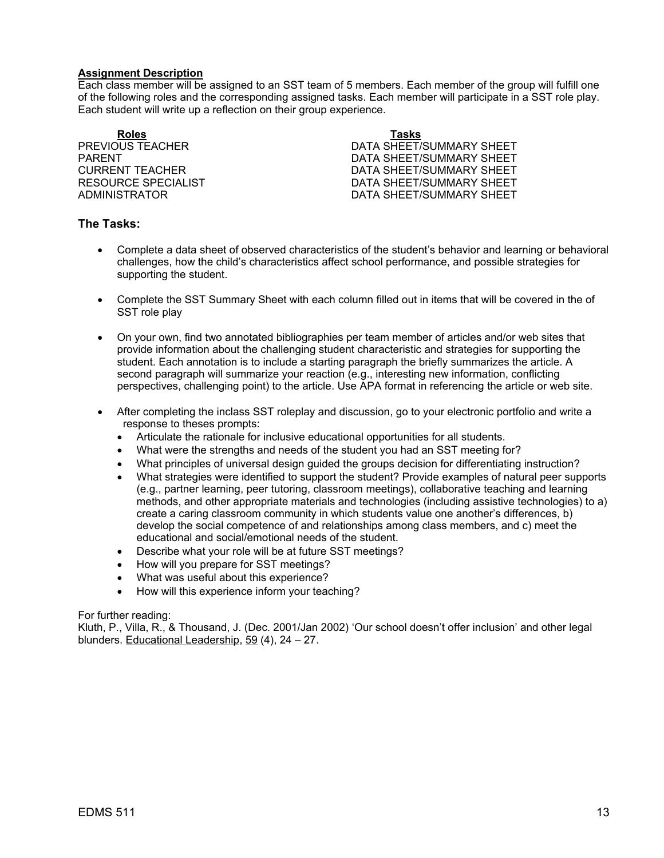#### **Assignment Description**

Each class member will be assigned to an SST team of 5 members. Each member of the group will fulfill one of the following roles and the corresponding assigned tasks. Each member will participate in a SST role play. Each student will write up a reflection on their group experience.

**Roles Tasks**

PREVIOUS TEACHER DATA SHEET/SUMMARY SHEET PARENT THE RESERVE OF STREET AND RESERVE TO DATA SHEET/SUMMARY SHEET CURRENT TEACHER DATA SHEET/SUMMARY SHEET RESOURCE SPECIALIST **EXECUTE:** DATA SHEET/SUMMARY SHEET ADMINISTRATOR DATA SHEET/SUMMARY SHEET

# **The Tasks:**

- Complete a data sheet of observed characteristics of the student's behavior and learning or behavioral challenges, how the child's characteristics affect school performance, and possible strategies for supporting the student.
- Complete the SST Summary Sheet with each column filled out in items that will be covered in the of SST role play
- On your own, find two annotated bibliographies per team member of articles and/or web sites that provide information about the challenging student characteristic and strategies for supporting the student. Each annotation is to include a starting paragraph the briefly summarizes the article. A second paragraph will summarize your reaction (e.g., interesting new information, conflicting perspectives, challenging point) to the article. Use APA format in referencing the article or web site.
- After completing the inclass SST roleplay and discussion, go to your electronic portfolio and write a response to theses prompts:
	- Articulate the rationale for inclusive educational opportunities for all students.
	- What were the strengths and needs of the student you had an SST meeting for?
	- What principles of universal design guided the groups decision for differentiating instruction?
	- What strategies were identified to support the student? Provide examples of natural peer supports (e.g., partner learning, peer tutoring, classroom meetings), collaborative teaching and learning methods, and other appropriate materials and technologies (including assistive technologies) to a) create a caring classroom community in which students value one another's differences, b) develop the social competence of and relationships among class members, and c) meet the educational and social/emotional needs of the student.
	- Describe what your role will be at future SST meetings?
	- How will you prepare for SST meetings?
	- What was useful about this experience?
	- How will this experience inform your teaching?

#### For further reading:

Kluth, P., Villa, R., & Thousand, J. (Dec. 2001/Jan 2002) 'Our school doesn't offer inclusion' and other legal blunders. Educational Leadership, 59 (4), 24 – 27.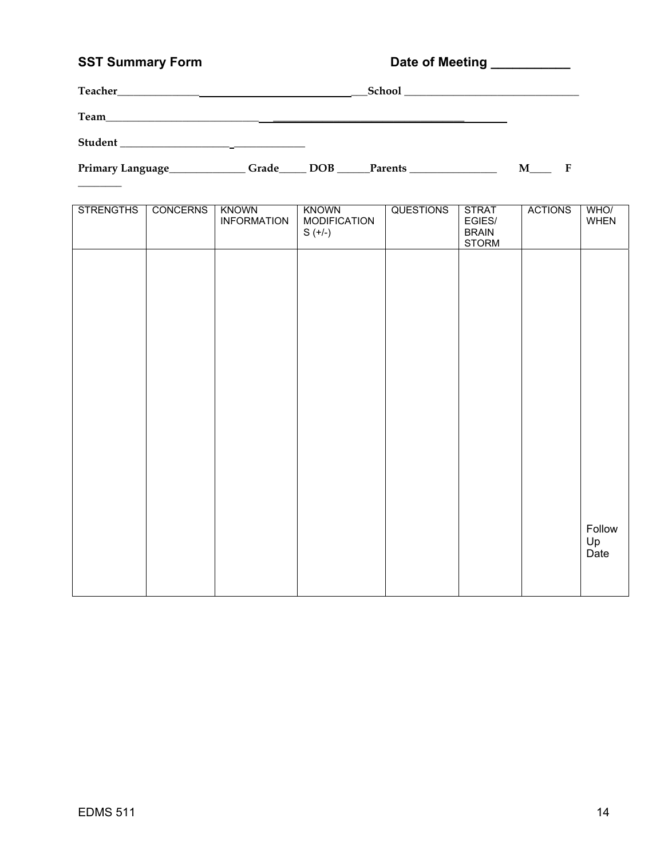# SST Summary Form **Date of Meeting**

| Teacher | School |  |
|---------|--------|--|
| Team    |        |  |
| Student |        |  |

 $\overline{\phantom{a}}$ 

Primary Language\_\_\_\_\_\_\_\_\_\_\_\_\_Grade\_\_\_\_\_ DOB \_\_\_\_\_Parents \_\_\_\_\_\_\_\_\_\_\_\_\_\_\_\_\_\_\_\_\_\_ M\_\_\_\_\_ F

| <b>STRENGTHS</b> | <b>CONCERNS</b> | <b>KNOWN</b><br><b>INFORMATION</b> | <b>KNOWN</b><br><b>MODIFICATION</b><br>$S (+/-)$ | <b>QUESTIONS</b> | <b>STRAT</b><br>EGIES/<br><b>BRAIN</b><br><b>STORM</b> | <b>ACTIONS</b> | WHO/<br>WHEN         |
|------------------|-----------------|------------------------------------|--------------------------------------------------|------------------|--------------------------------------------------------|----------------|----------------------|
|                  |                 |                                    |                                                  |                  |                                                        |                |                      |
|                  |                 |                                    |                                                  |                  |                                                        |                |                      |
|                  |                 |                                    |                                                  |                  |                                                        |                |                      |
|                  |                 |                                    |                                                  |                  |                                                        |                |                      |
|                  |                 |                                    |                                                  |                  |                                                        |                |                      |
|                  |                 |                                    |                                                  |                  |                                                        |                |                      |
|                  |                 |                                    |                                                  |                  |                                                        |                | Follow<br>Up<br>Date |
|                  |                 |                                    |                                                  |                  |                                                        |                |                      |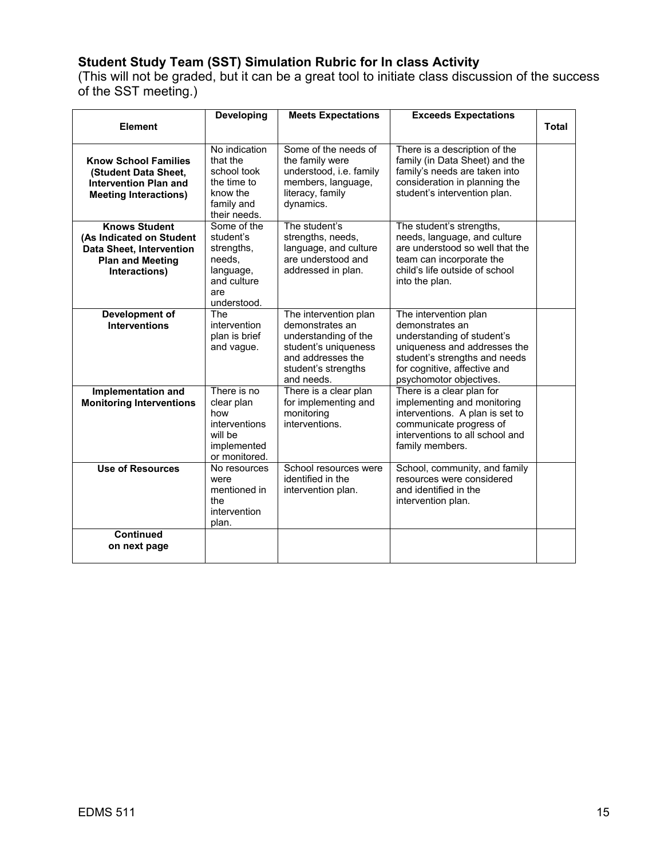# **Student Study Team (SST) Simulation Rubric for In class Activity**

(This will not be graded, but it can be a great tool to initiate class discussion of the success of the SST meeting.)

|                                                                                                                                 | <b>Developing</b>                                                                                  | <b>Meets Expectations</b>                                                                                                                          | <b>Exceeds Expectations</b>                                                                                                                                                                        |              |
|---------------------------------------------------------------------------------------------------------------------------------|----------------------------------------------------------------------------------------------------|----------------------------------------------------------------------------------------------------------------------------------------------------|----------------------------------------------------------------------------------------------------------------------------------------------------------------------------------------------------|--------------|
| <b>Element</b>                                                                                                                  |                                                                                                    |                                                                                                                                                    |                                                                                                                                                                                                    | <b>Total</b> |
| <b>Know School Families</b><br>(Student Data Sheet,<br><b>Intervention Plan and</b><br><b>Meeting Interactions)</b>             | No indication<br>that the<br>school took<br>the time to<br>know the<br>family and<br>their needs.  | Some of the needs of<br>the family were<br>understood, i.e. family<br>members, language,<br>literacy, family<br>dynamics.                          | There is a description of the<br>family (in Data Sheet) and the<br>family's needs are taken into<br>consideration in planning the<br>student's intervention plan.                                  |              |
| <b>Knows Student</b><br>(As Indicated on Student<br><b>Data Sheet, Intervention</b><br><b>Plan and Meeting</b><br>Interactions) | Some of the<br>student's<br>strengths.<br>needs,<br>language,<br>and culture<br>are<br>understood. | The student's<br>strengths, needs,<br>language, and culture<br>are understood and<br>addressed in plan.                                            | The student's strengths,<br>needs, language, and culture<br>are understood so well that the<br>team can incorporate the<br>child's life outside of school<br>into the plan.                        |              |
| Development of<br><b>Interventions</b>                                                                                          | The<br>intervention<br>plan is brief<br>and vague.                                                 | The intervention plan<br>demonstrates an<br>understanding of the<br>student's uniqueness<br>and addresses the<br>student's strengths<br>and needs. | The intervention plan<br>demonstrates an<br>understanding of student's<br>uniqueness and addresses the<br>student's strengths and needs<br>for cognitive, affective and<br>psychomotor objectives. |              |
| Implementation and<br><b>Monitoring Interventions</b>                                                                           | There is no<br>clear plan<br>how<br>interventions<br>will be<br>implemented<br>or monitored.       | There is a clear plan<br>for implementing and<br>monitoring<br>interventions.                                                                      | There is a clear plan for<br>implementing and monitoring<br>interventions. A plan is set to<br>communicate progress of<br>interventions to all school and<br>family members.                       |              |
| <b>Use of Resources</b>                                                                                                         | No resources<br>were<br>mentioned in<br>the<br>intervention<br>plan.                               | School resources were<br>identified in the<br>intervention plan.                                                                                   | School, community, and family<br>resources were considered<br>and identified in the<br>intervention plan.                                                                                          |              |
| <b>Continued</b><br>on next page                                                                                                |                                                                                                    |                                                                                                                                                    |                                                                                                                                                                                                    |              |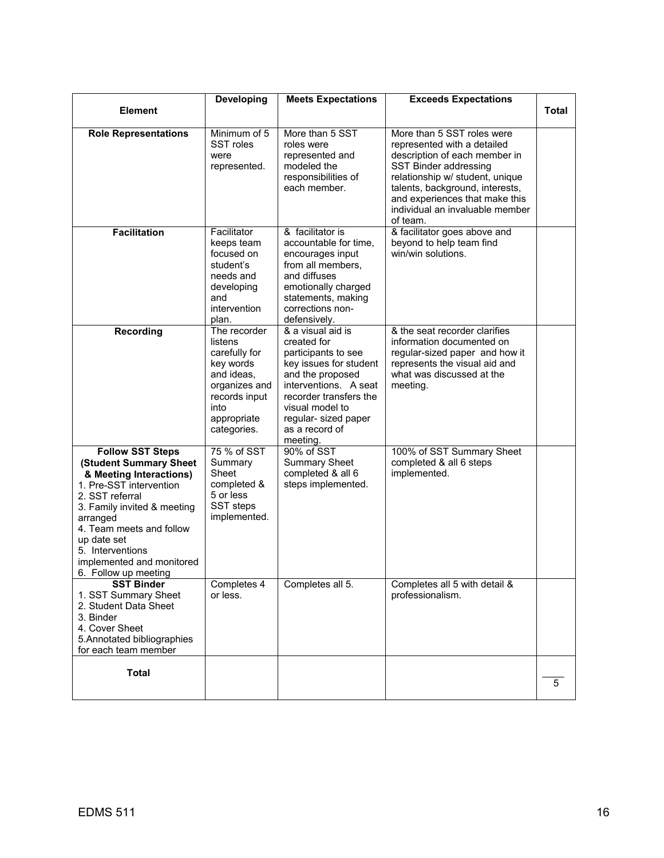|                                                                                                                                                                                                                                                                                           | Developing                                                                                                                                  | <b>Meets Expectations</b>                                                                                                                                                                                                         | <b>Exceeds Expectations</b>                                                                                                                                                                                                                                                |              |
|-------------------------------------------------------------------------------------------------------------------------------------------------------------------------------------------------------------------------------------------------------------------------------------------|---------------------------------------------------------------------------------------------------------------------------------------------|-----------------------------------------------------------------------------------------------------------------------------------------------------------------------------------------------------------------------------------|----------------------------------------------------------------------------------------------------------------------------------------------------------------------------------------------------------------------------------------------------------------------------|--------------|
| <b>Element</b>                                                                                                                                                                                                                                                                            |                                                                                                                                             |                                                                                                                                                                                                                                   |                                                                                                                                                                                                                                                                            | <b>Total</b> |
| <b>Role Representations</b>                                                                                                                                                                                                                                                               | Minimum of 5<br>SST roles<br>were<br>represented.                                                                                           | More than 5 SST<br>roles were<br>represented and<br>modeled the<br>responsibilities of<br>each member.                                                                                                                            | More than 5 SST roles were<br>represented with a detailed<br>description of each member in<br>SST Binder addressing<br>relationship w/ student, unique<br>talents, background, interests,<br>and experiences that make this<br>individual an invaluable member<br>of team. |              |
| <b>Facilitation</b>                                                                                                                                                                                                                                                                       | Facilitator<br>keeps team<br>focused on<br>student's<br>needs and<br>developing<br>and<br>intervention<br>plan.                             | & facilitator is<br>accountable for time,<br>encourages input<br>from all members,<br>and diffuses<br>emotionally charged<br>statements, making<br>corrections non-<br>defensively.                                               | & facilitator goes above and<br>beyond to help team find<br>win/win solutions.                                                                                                                                                                                             |              |
| <b>Recording</b>                                                                                                                                                                                                                                                                          | The recorder<br>listens<br>carefully for<br>key words<br>and ideas.<br>organizes and<br>records input<br>into<br>appropriate<br>categories. | & a visual aid is<br>created for<br>participants to see<br>key issues for student<br>and the proposed<br>interventions. A seat<br>recorder transfers the<br>visual model to<br>regular- sized paper<br>as a record of<br>meeting. | & the seat recorder clarifies<br>information documented on<br>regular-sized paper and how it<br>represents the visual aid and<br>what was discussed at the<br>meeting.                                                                                                     |              |
| <b>Follow SST Steps</b><br>(Student Summary Sheet<br>& Meeting Interactions)<br>1. Pre-SST intervention<br>2. SST referral<br>3. Family invited & meeting<br>arranged<br>4. Team meets and follow<br>up date set<br>5. Interventions<br>implemented and monitored<br>6. Follow up meeting | 75 % of SST<br>Summary<br>Sheet<br>completed &<br>5 or less<br>SST steps<br>implemented.                                                    | 90% of SST<br><b>Summary Sheet</b><br>completed & all 6<br>steps implemented.                                                                                                                                                     | 100% of SST Summary Sheet<br>completed & all 6 steps<br>implemented.                                                                                                                                                                                                       |              |
| <b>SST Binder</b><br>1. SST Summary Sheet<br>2. Student Data Sheet<br>3. Binder<br>4. Cover Sheet<br>5. Annotated bibliographies<br>for each team member                                                                                                                                  | Completes 4<br>or less.                                                                                                                     | Completes all 5.                                                                                                                                                                                                                  | Completes all 5 with detail &<br>professionalism.                                                                                                                                                                                                                          |              |
| <b>Total</b>                                                                                                                                                                                                                                                                              |                                                                                                                                             |                                                                                                                                                                                                                                   |                                                                                                                                                                                                                                                                            | 5            |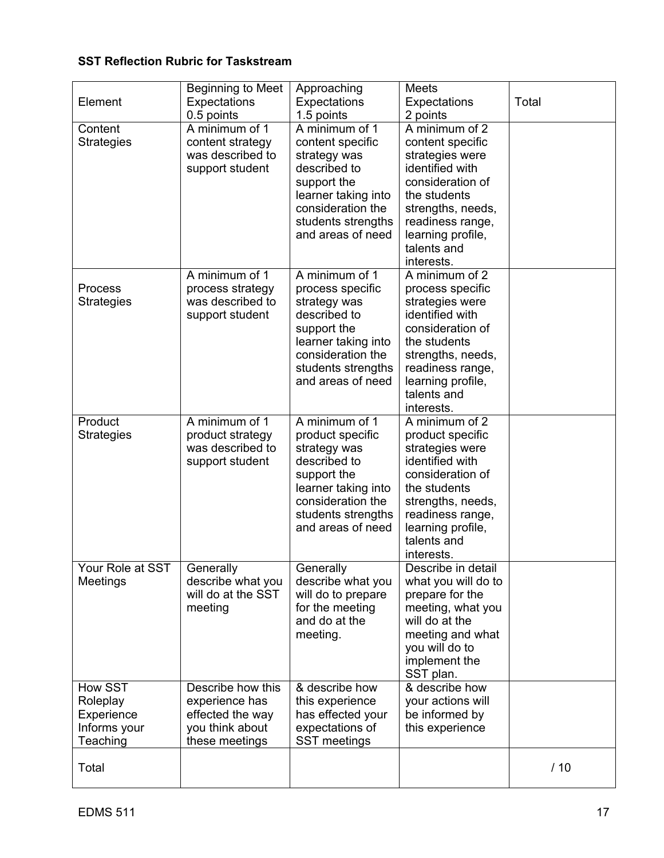# **SST Reflection Rubric for Taskstream**

| Element                                                       | Beginning to Meet<br><b>Expectations</b><br>0.5 points                                       | Approaching<br>Expectations<br>1.5 points                                                                                                                                | <b>Meets</b><br>Expectations<br>2 points                                                                                                                                                                | Total |
|---------------------------------------------------------------|----------------------------------------------------------------------------------------------|--------------------------------------------------------------------------------------------------------------------------------------------------------------------------|---------------------------------------------------------------------------------------------------------------------------------------------------------------------------------------------------------|-------|
| Content<br><b>Strategies</b>                                  | A minimum of 1<br>content strategy<br>was described to<br>support student                    | A minimum of 1<br>content specific<br>strategy was<br>described to<br>support the<br>learner taking into<br>consideration the<br>students strengths<br>and areas of need | A minimum of 2<br>content specific<br>strategies were<br>identified with<br>consideration of<br>the students<br>strengths, needs,<br>readiness range,<br>learning profile,<br>talents and<br>interests. |       |
| Process<br><b>Strategies</b>                                  | A minimum of 1<br>process strategy<br>was described to<br>support student                    | A minimum of 1<br>process specific<br>strategy was<br>described to<br>support the<br>learner taking into<br>consideration the<br>students strengths<br>and areas of need | A minimum of 2<br>process specific<br>strategies were<br>identified with<br>consideration of<br>the students<br>strengths, needs,<br>readiness range,<br>learning profile,<br>talents and<br>interests. |       |
| Product<br><b>Strategies</b>                                  | A minimum of 1<br>product strategy<br>was described to<br>support student                    | A minimum of 1<br>product specific<br>strategy was<br>described to<br>support the<br>learner taking into<br>consideration the<br>students strengths<br>and areas of need | A minimum of 2<br>product specific<br>strategies were<br>identified with<br>consideration of<br>the students<br>strengths, needs,<br>readiness range,<br>learning profile,<br>talents and<br>interests. |       |
| Your Role at SST<br>Meetings                                  | Generally<br>describe what you<br>will do at the SST<br>meeting                              | Generally<br>describe what you<br>will do to prepare<br>for the meeting<br>and do at the<br>meeting.                                                                     | Describe in detail<br>what you will do to<br>prepare for the<br>meeting, what you<br>will do at the<br>meeting and what<br>you will do to<br>implement the<br>SST plan.                                 |       |
| How SST<br>Roleplay<br>Experience<br>Informs your<br>Teaching | Describe how this<br>experience has<br>effected the way<br>you think about<br>these meetings | & describe how<br>this experience<br>has effected your<br>expectations of<br><b>SST</b> meetings                                                                         | & describe how<br>your actions will<br>be informed by<br>this experience                                                                                                                                |       |
| Total                                                         |                                                                                              |                                                                                                                                                                          |                                                                                                                                                                                                         | /10   |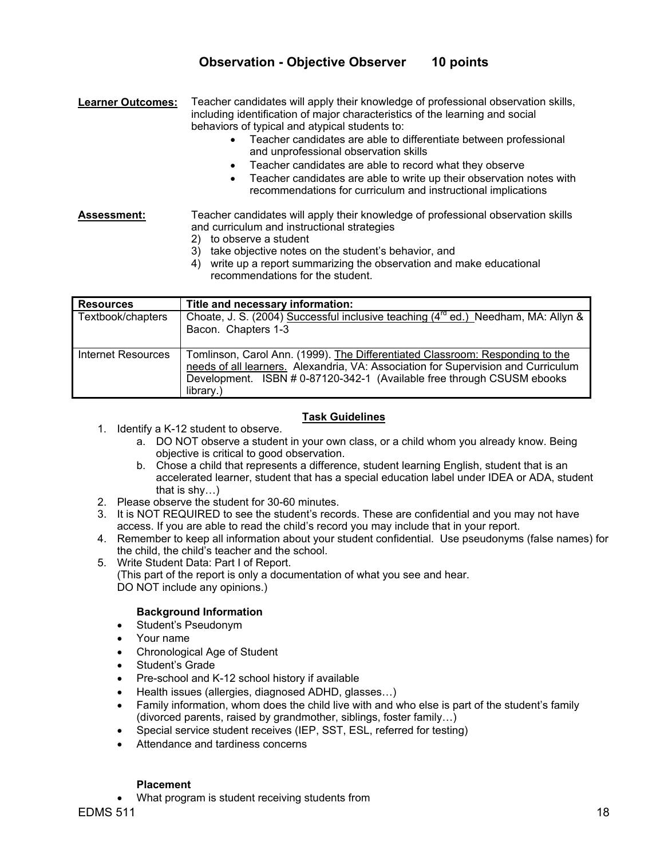# **Observation - Objective Observer 10 points**

**Learner Outcomes:** Teacher candidates will apply their knowledge of professional observation skills, including identification of major characteristics of the learning and social behaviors of typical and atypical students to:

- Teacher candidates are able to differentiate between professional and unprofessional observation skills
- Teacher candidates are able to record what they observe
- Teacher candidates are able to write up their observation notes with recommendations for curriculum and instructional implications

**Assessment:** Teacher candidates will apply their knowledge of professional observation skills and curriculum and instructional strategies

- 2) to observe a student
- 3) take objective notes on the student's behavior, and
- 4) write up a report summarizing the observation and make educational recommendations for the student.

| <b>Resources</b>   | Title and necessary information:                                                                                                                                                                                                                          |
|--------------------|-----------------------------------------------------------------------------------------------------------------------------------------------------------------------------------------------------------------------------------------------------------|
| Textbook/chapters  | Choate, J. S. (2004) Successful inclusive teaching (4 <sup>rd</sup> ed.) Needham, MA: Allyn &<br>Bacon. Chapters 1-3                                                                                                                                      |
| Internet Resources | Tomlinson, Carol Ann. (1999). The Differentiated Classroom: Responding to the<br>needs of all learners. Alexandria, VA: Association for Supervision and Curriculum<br>Development. ISBN # 0-87120-342-1 (Available free through CSUSM ebooks<br>library.) |

# **Task Guidelines**

- 1. Identify a K-12 student to observe.
	- a. DO NOT observe a student in your own class, or a child whom you already know. Being objective is critical to good observation.
	- b. Chose a child that represents a difference, student learning English, student that is an accelerated learner, student that has a special education label under IDEA or ADA, student that is shy…)
- 2. Please observe the student for 30-60 minutes.
- 3. It is NOT REQUIRED to see the student's records. These are confidential and you may not have access. If you are able to read the child's record you may include that in your report.
- 4. Remember to keep all information about your student confidential. Use pseudonyms (false names) for the child, the child's teacher and the school.
- 5. Write Student Data: Part I of Report.
	- (This part of the report is only a documentation of what you see and hear. DO NOT include any opinions.)

# **Background Information**

- Student's Pseudonym
- Your name
- Chronological Age of Student
- Student's Grade
- Pre-school and K-12 school history if available
- Health issues (allergies, diagnosed ADHD, glasses…)
- Family information, whom does the child live with and who else is part of the student's family (divorced parents, raised by grandmother, siblings, foster family…)
- Special service student receives (IEP, SST, ESL, referred for testing)
- Attendance and tardiness concerns

#### **Placement**

• What program is student receiving students from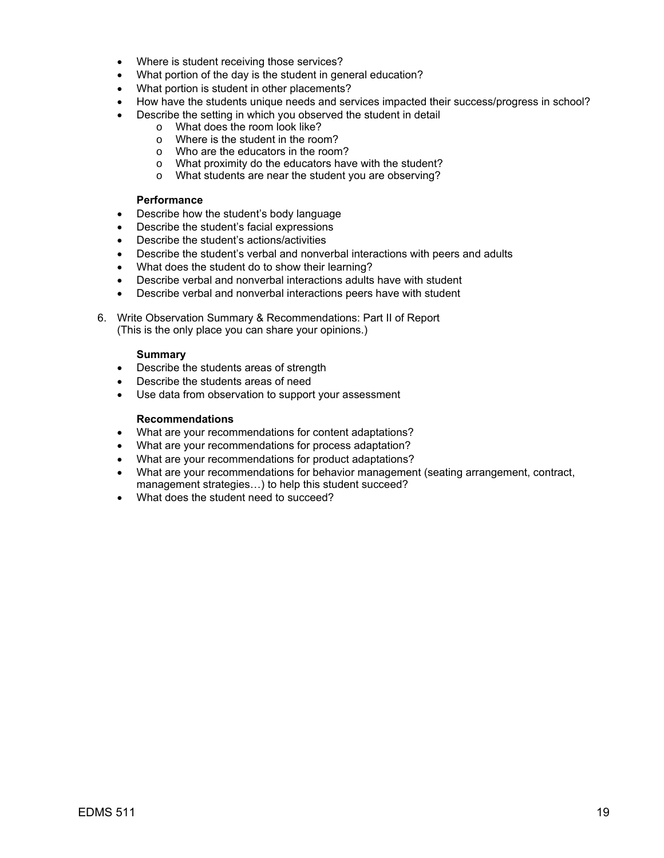- Where is student receiving those services?
- What portion of the day is the student in general education?
- What portion is student in other placements?
- How have the students unique needs and services impacted their success/progress in school?
- Describe the setting in which you observed the student in detail
	- o What does the room look like?
	- o Where is the student in the room?
	- o Who are the educators in the room?
	- o What proximity do the educators have with the student?
	- o What students are near the student you are observing?

#### **Performance**

- Describe how the student's body language
- Describe the student's facial expressions
- Describe the student's actions/activities
- Describe the student's verbal and nonverbal interactions with peers and adults
- What does the student do to show their learning?
- Describe verbal and nonverbal interactions adults have with student
- Describe verbal and nonverbal interactions peers have with student

6. Write Observation Summary & Recommendations: Part II of Report (This is the only place you can share your opinions.)

#### **Summary**

- Describe the students areas of strength
- Describe the students areas of need
- Use data from observation to support your assessment

#### **Recommendations**

- What are your recommendations for content adaptations?
- What are your recommendations for process adaptation?
- What are your recommendations for product adaptations?
- What are your recommendations for behavior management (seating arrangement, contract, management strategies…) to help this student succeed?
- What does the student need to succeed?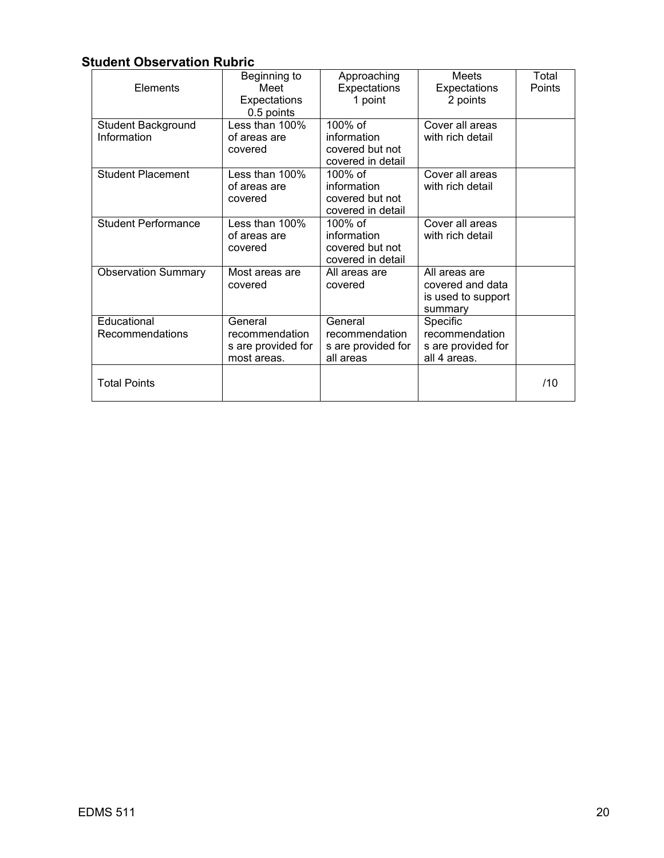# **Student Observation Rubric**

| Elements                          | Beginning to<br>Meet<br>Expectations<br>0.5 points             | Approaching<br>Expectations<br>1 point                            | Meets<br>Expectations<br>2 points                                  | Total<br>Points |
|-----------------------------------|----------------------------------------------------------------|-------------------------------------------------------------------|--------------------------------------------------------------------|-----------------|
| Student Background<br>Information | Less than $100\%$<br>of areas are<br>covered                   | 100% of<br>information<br>covered but not<br>covered in detail    | Cover all areas<br>with rich detail                                |                 |
| <b>Student Placement</b>          | Less than 100%<br>of areas are<br>covered                      | 100% of<br>information<br>covered but not<br>covered in detail    | Cover all areas<br>with rich detail                                |                 |
| <b>Student Performance</b>        | Less than $100\%$<br>of areas are<br>covered                   | $100\%$ of<br>information<br>covered but not<br>covered in detail | Cover all areas<br>with rich detail                                |                 |
| <b>Observation Summary</b>        | Most areas are<br>covered                                      | All areas are<br>covered                                          | All areas are<br>covered and data<br>is used to support<br>summary |                 |
| Educational<br>Recommendations    | General<br>recommendation<br>s are provided for<br>most areas. | General<br>recommendation<br>s are provided for<br>all areas      | Specific<br>recommendation<br>s are provided for<br>all 4 areas.   |                 |
| <b>Total Points</b>               |                                                                |                                                                   |                                                                    | /10             |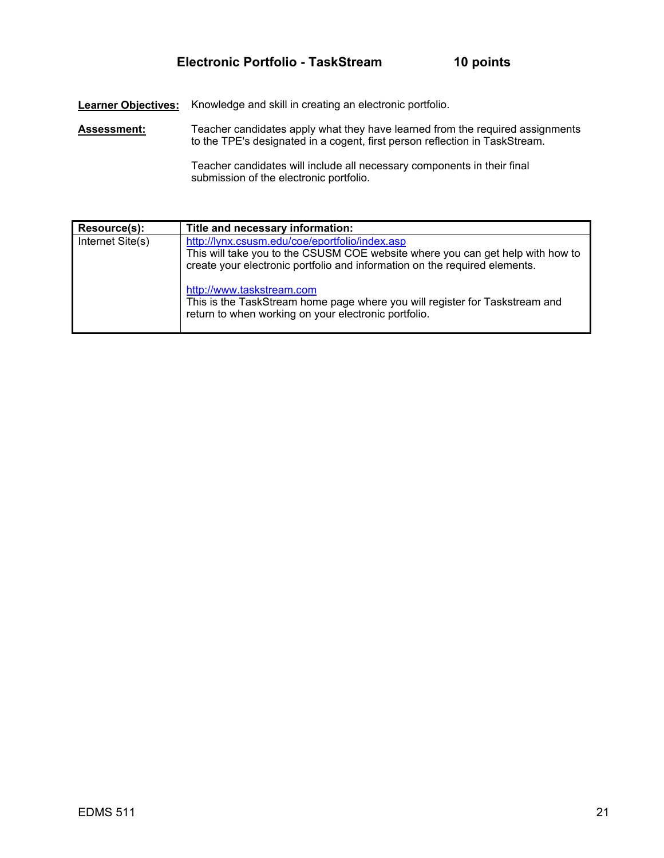**Learner Objectives:** Knowledge and skill in creating an electronic portfolio.

Assessment: Teacher candidates apply what they have learned from the required assignments to the TPE's designated in a cogent, first person reflection in TaskStream.

> Teacher candidates will include all necessary components in their final submission of the electronic portfolio.

| Resource(s):     | Title and necessary information:                                                                                                                                                                               |
|------------------|----------------------------------------------------------------------------------------------------------------------------------------------------------------------------------------------------------------|
| Internet Site(s) | http://lynx.csusm.edu/coe/eportfolio/index.asp<br>This will take you to the CSUSM COE website where you can get help with how to<br>create your electronic portfolio and information on the required elements. |
|                  | http://www.taskstream.com<br>This is the TaskStream home page where you will register for Taskstream and<br>return to when working on your electronic portfolio.                                               |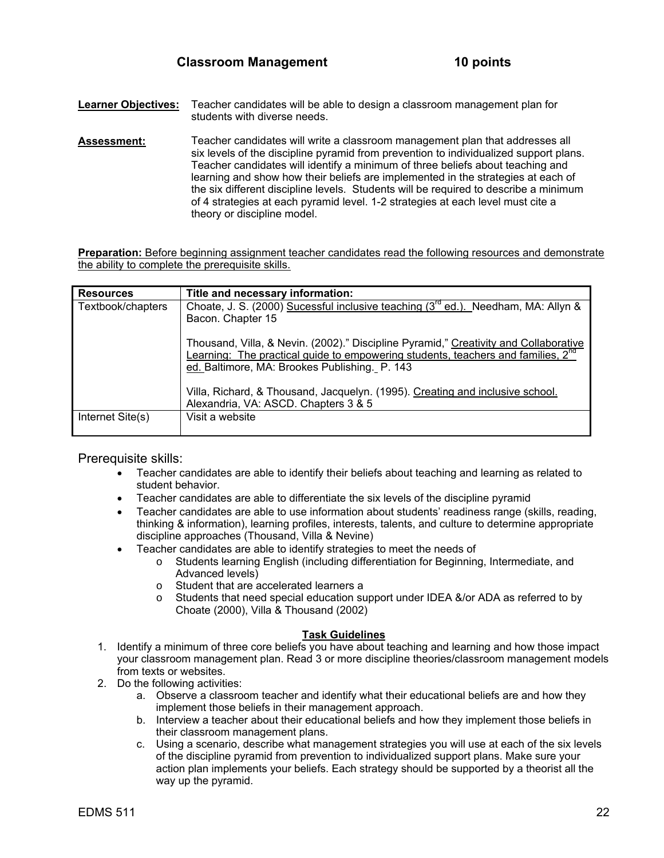- **Learner Objectives:** Teacher candidates will be able to design a classroom management plan for students with diverse needs.
- **Assessment:** Teacher candidates will write a classroom management plan that addresses all six levels of the discipline pyramid from prevention to individualized support plans. Teacher candidates will identify a minimum of three beliefs about teaching and learning and show how their beliefs are implemented in the strategies at each of the six different discipline levels. Students will be required to describe a minimum of 4 strategies at each pyramid level. 1-2 strategies at each level must cite a theory or discipline model.

**Preparation:** Before beginning assignment teacher candidates read the following resources and demonstrate the ability to complete the prerequisite skills.

| <b>Resources</b>  | Title and necessary information:                                                                                                                                                                                                      |
|-------------------|---------------------------------------------------------------------------------------------------------------------------------------------------------------------------------------------------------------------------------------|
| Textbook/chapters | Choate, J. S. (2000) Sucessful inclusive teaching (3 <sup>rd</sup> ed.). Needham, MA: Allyn &<br>Bacon. Chapter 15                                                                                                                    |
|                   | Thousand, Villa, & Nevin. (2002)." Discipline Pyramid," Creativity and Collaborative<br>Learning: The practical guide to empowering students, teachers and families, 2 <sup>nd</sup><br>ed. Baltimore, MA: Brookes Publishing. P. 143 |
|                   | Villa, Richard, & Thousand, Jacquelyn. (1995). Creating and inclusive school.<br>Alexandria, VA: ASCD. Chapters 3 & 5                                                                                                                 |
| Internet Site(s)  | Visit a website                                                                                                                                                                                                                       |

Prerequisite skills:

- Teacher candidates are able to identify their beliefs about teaching and learning as related to student behavior.
- Teacher candidates are able to differentiate the six levels of the discipline pyramid
- Teacher candidates are able to use information about students' readiness range (skills, reading, thinking & information), learning profiles, interests, talents, and culture to determine appropriate discipline approaches (Thousand, Villa & Nevine)
- Teacher candidates are able to identify strategies to meet the needs of
	- o Students learning English (including differentiation for Beginning, Intermediate, and Advanced levels)
		- o Student that are accelerated learners a
		- $\circ$  Students that need special education support under IDEA &/or ADA as referred to by Choate (2000), Villa & Thousand (2002)

#### **Task Guidelines**

- 1. Identify a minimum of three core beliefs you have about teaching and learning and how those impact your classroom management plan. Read 3 or more discipline theories/classroom management models from texts or websites.
- 2. Do the following activities:
	- a. Observe a classroom teacher and identify what their educational beliefs are and how they implement those beliefs in their management approach.
	- b. Interview a teacher about their educational beliefs and how they implement those beliefs in their classroom management plans.
	- c. Using a scenario, describe what management strategies you will use at each of the six levels of the discipline pyramid from prevention to individualized support plans. Make sure your action plan implements your beliefs. Each strategy should be supported by a theorist all the way up the pyramid.